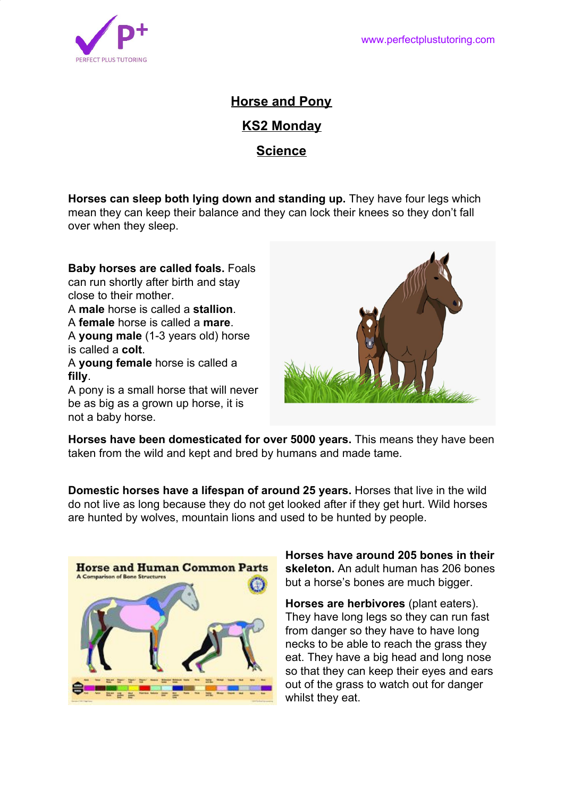

**Horse and Pony KS2 Monday Science**

**Horses can sleep both lying down and standing up.** They have four legs which mean they can keep their balance and they can lock their knees so they don't fall over when they sleep.

**Baby horses are called foals.** Foals can run shortly after birth and stay close to their mother. A **male** horse is called a **stallion**. A **female** horse is called a **mare**. A **young male** (1-3 years old) horse is called a **colt**. A **young female** horse is called a **filly**.

A pony is a small horse that will never be as big as a grown up horse, it is not a baby horse.



**Horses have been domesticated for over 5000 years.** This means they have been taken from the wild and kept and bred by humans and made tame.

**Domestic horses have a lifespan of around 25 years.** Horses that live in the wild do not live as long because they do not get looked after if they get hurt. Wild horses are hunted by wolves, mountain lions and used to be hunted by people.



**Horses have around 205 bones in their skeleton.** An adult human has 206 bones but a horse's bones are much bigger.

**Horses are herbivores** (plant eaters). They have long legs so they can run fast from danger so they have to have long necks to be able to reach the grass they eat. They have a big head and long nose so that they can keep their eyes and ears out of the grass to watch out for danger whilst they eat.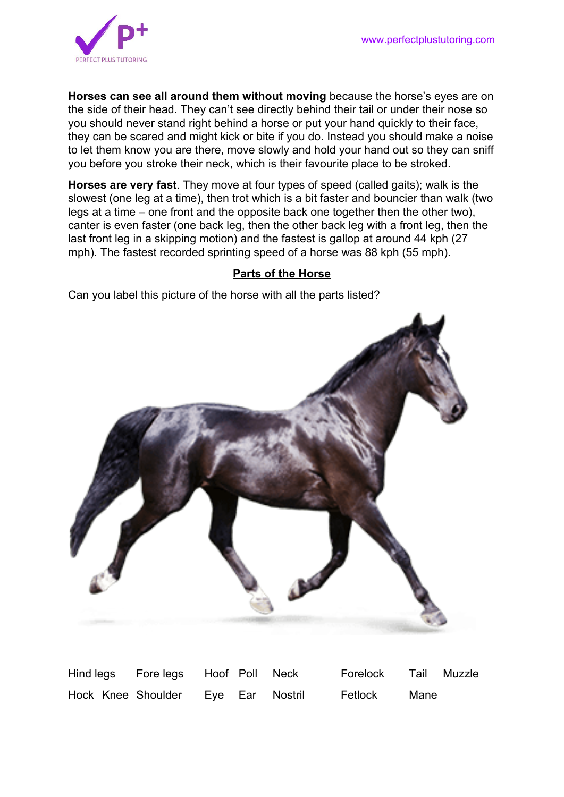

**Horses can see all around them without moving** because the horse's eyes are on the side of their head. They can't see directly behind their tail or under their nose so you should never stand right behind a horse or put your hand quickly to their face, they can be scared and might kick or bite if you do. Instead you should make a noise to let them know you are there, move slowly and hold your hand out so they can sniff you before you stroke their neck, which is their favourite place to be stroked.

**Horses are very fast**. They move at four types of speed (called gaits); walk is the slowest (one leg at a time), then trot which is a bit faster and bouncier than walk (two legs at a time – one front and the opposite back one together then the other two), canter is even faster (one back leg, then the other back leg with a front leg, then the last front leg in a skipping motion) and the fastest is gallop at around 44 kph (27 mph). The fastest recorded sprinting speed of a horse was 88 kph (55 mph).

## **Parts of the Horse**

Can you label this picture of the horse with all the parts listed?



Hind legs Fore legs Hoof Poll Neck Forelock Tail Muzzle Hock Knee Shoulder Eye Ear Nostril Fetlock Mane